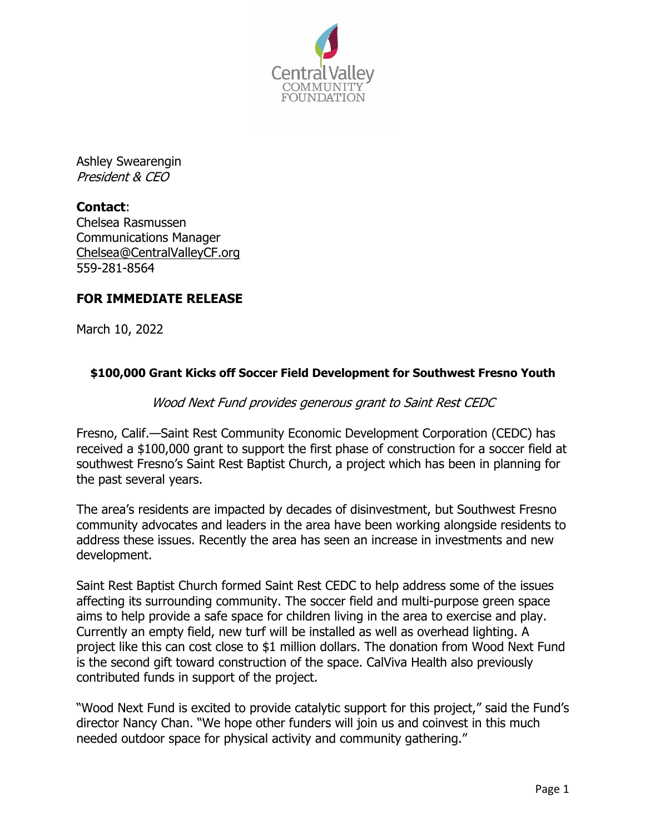

Ashley Swearengin President & CEO

**Contact**: Chelsea Rasmussen Communications Manager Chelsea@CentralValleyCF.org 559-281-8564

# **FOR IMMEDIATE RELEASE**

March 10, 2022

## **\$100,000 Grant Kicks off Soccer Field Development for Southwest Fresno Youth**

### Wood Next Fund provides generous grant to Saint Rest CEDC

Fresno, Calif.—Saint Rest Community Economic Development Corporation (CEDC) has received a \$100,000 grant to support the first phase of construction for a soccer field at southwest Fresno's Saint Rest Baptist Church, a project which has been in planning for the past several years.

The area's residents are impacted by decades of disinvestment, but Southwest Fresno community advocates and leaders in the area have been working alongside residents to address these issues. Recently the area has seen an increase in investments and new development.

Saint Rest Baptist Church formed Saint Rest CEDC to help address some of the issues affecting its surrounding community. The soccer field and multi-purpose green space aims to help provide a safe space for children living in the area to exercise and play. Currently an empty field, new turf will be installed as well as overhead lighting. A project like this can cost close to \$1 million dollars. The donation from Wood Next Fund is the second gift toward construction of the space. CalViva Health also previously contributed funds in support of the project.

"Wood Next Fund is excited to provide catalytic support for this project," said the Fund's director Nancy Chan. "We hope other funders will join us and coinvest in this much needed outdoor space for physical activity and community gathering."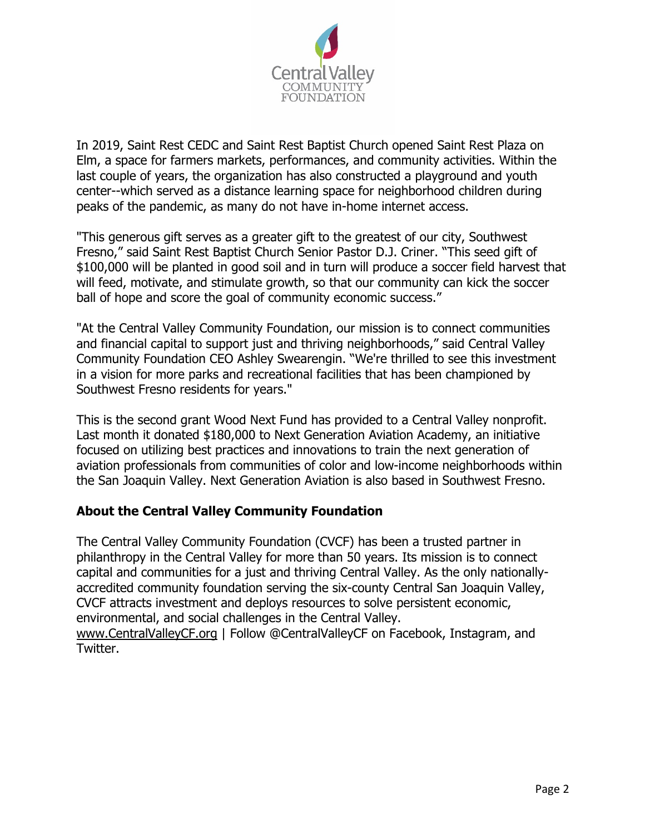

In 2019, Saint Rest CEDC and Saint Rest Baptist Church opened Saint Rest Plaza on Elm, a space for farmers markets, performances, and community activities. Within the last couple of years, the organization has also constructed a playground and youth center--which served as a distance learning space for neighborhood children during peaks of the pandemic, as many do not have in-home internet access.

"This generous gift serves as a greater gift to the greatest of our city, Southwest Fresno," said Saint Rest Baptist Church Senior Pastor D.J. Criner. "This seed gift of \$100,000 will be planted in good soil and in turn will produce a soccer field harvest that will feed, motivate, and stimulate growth, so that our community can kick the soccer ball of hope and score the goal of community economic success."

"At the Central Valley Community Foundation, our mission is to connect communities and financial capital to support just and thriving neighborhoods," said Central Valley Community Foundation CEO Ashley Swearengin. "We're thrilled to see this investment in a vision for more parks and recreational facilities that has been championed by Southwest Fresno residents for years."

This is the second grant Wood Next Fund has provided to a Central Valley nonprofit. Last month it donated \$180,000 to Next Generation Aviation Academy, an initiative focused on utilizing best practices and innovations to train the next generation of aviation professionals from communities of color and low-income neighborhoods within the San Joaquin Valley. Next Generation Aviation is also based in Southwest Fresno.

## **About the Central Valley Community Foundation**

The Central Valley Community Foundation (CVCF) has been a trusted partner in philanthropy in the Central Valley for more than 50 years. Its mission is to connect capital and communities for a just and thriving Central Valley. As the only nationallyaccredited community foundation serving the six-county Central San Joaquin Valley, CVCF attracts investment and deploys resources to solve persistent economic, environmental, and social challenges in the Central Valley. www.CentralValleyCF.org | Follow @CentralValleyCF on Facebook, Instagram, and

Twitter.